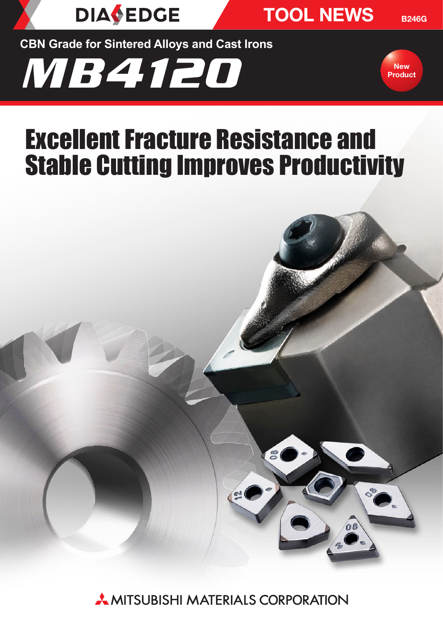

TOOL NEWS

B246G

**CBN Grade for Sintered Alloys and Cast Irons**





# Excellent Fracture Resistance and Stable Cutting Improves Productivity



**AMITSUBISHI MATERIALS CORPORATION**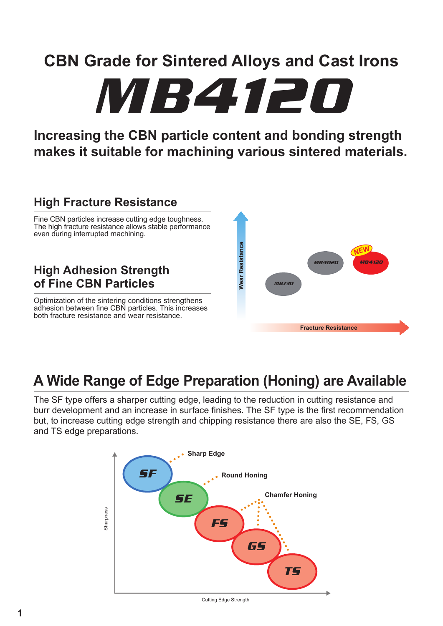MB4120

## **Increasing the CBN particle content and bonding strength makes it suitable for machining various sintered materials.**

## **High Fracture Resistance**

Fine CBN particles increase cutting edge toughness. The high fracture resistance allows stable performance even during interrupted machining.

## **High Adhesion Strength of Fine CBN Particles**

Optimization of the sintering conditions strengthens adhesion between fine CBN particles. This increases both fracture resistance and wear resistance.



## **A Wide Range of Edge Preparation (Honing) are Available**

The SF type offers a sharper cutting edge, leading to the reduction in cutting resistance and burr development and an increase in surface finishes. The SF type is the first recommendation but, to increase cutting edge strength and chipping resistance there are also the SE, FS, GS and TS edge preparations.



Cutting Edge Strength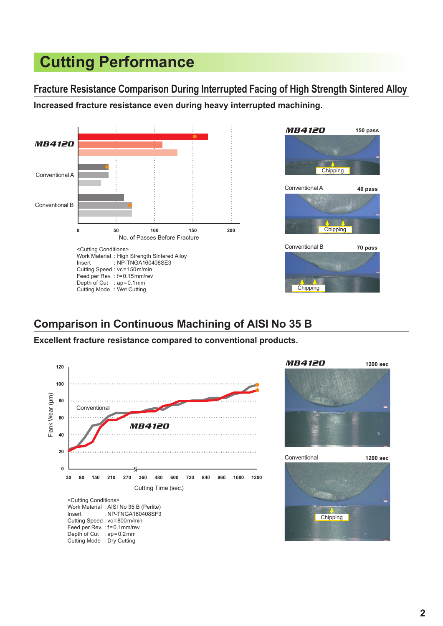# **Cutting Performance**

**Fracture Resistance Comparison During Interrupted Facing of High Strength Sintered Alloy Increased fracture resistance even during heavy interrupted machining.**





#### **Comparison in Continuous Machining of AISI No 35 B**

**Excellent fracture resistance compared to conventional products.**



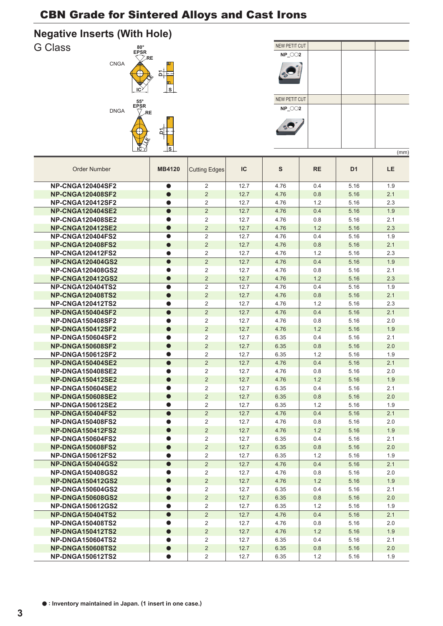#### **Negative Inserts (With Hole)**





| IC<br>S<br><b>RE</b><br>D <sub>1</sub><br>LE.<br><b>Order Number</b><br><b>MB4120</b><br><b>Cutting Edges</b><br><b>NP-CNGA120404SF2</b><br>$\overline{2}$<br>12.7<br>4.76<br>5.16<br>1.9<br>$\bullet$<br>0.4<br>$\overline{2}$<br>2.1<br><b>NP-CNGA120408SF2</b><br>12.7<br>4.76<br>0.8<br>5.16<br>$\bullet$<br>$\overline{2}$<br>12.7<br>4.76<br>1.2<br>5.16<br>2.3<br><b>NP-CNGA120412SF2</b><br>$\bullet$<br>$\overline{2}$<br><b>NP-CNGA120404SE2</b><br>12.7<br>4.76<br>0.4<br>5.16<br>1.9<br>$\bullet$<br><b>NP-CNGA120408SE2</b><br>$\overline{2}$<br>12.7<br>4.76<br>0.8<br>5.16<br>2.1<br>$\overline{c}$<br>12.7<br>4.76<br>5.16<br>2.3<br><b>NP-CNGA120412SE2</b><br>1.2<br><b>NP-CNGA120404FS2</b><br>$\overline{2}$<br>12.7<br>4.76<br>0.4<br>1.9<br>$\bullet$<br>5.16<br><b>NP-CNGA120408FS2</b><br>$\overline{2}$<br>$\bullet$<br>12.7<br>4.76<br>0.8<br>5.16<br>2.1<br>$\overline{2}$<br><b>NP-CNGA120412FS2</b><br>12.7<br>4.76<br>1.2<br>5.16<br>2.3<br><b>NP-CNGA120404GS2</b><br>$\overline{2}$<br>1.9<br>12.7<br>4.76<br>0.4<br>5.16<br>$\bullet$<br><b>NP-CNGA120408GS2</b><br>$\overline{2}$<br>12.7<br>4.76<br>0.8<br>5.16<br>2.1<br>$\overline{2}$<br><b>NP-CNGA120412GS2</b><br>12.7<br>4.76<br>1.2<br>5.16<br>2.3<br>$\bullet$<br><b>NP-CNGA120404TS2</b><br>2<br>12.7<br>4.76<br>0.4<br>5.16<br>1.9<br>$\bullet$<br>$\overline{2}$<br>2.1<br><b>NP-CNGA120408TS2</b><br>12.7<br>4.76<br>0.8<br>5.16<br>$\bullet$<br>2<br>12.7<br>4.76<br>1.2<br>5.16<br>2.3<br><b>NP-CNGA120412TS2</b><br>$\overline{2}$<br>12.7<br>2.1<br><b>NP-DNGA150404SF2</b><br>4.76<br>0.4<br>5.16<br>$\bullet$<br>$\overline{2}$<br><b>NP-DNGA150408SF2</b><br>12.7<br>4.76<br>0.8<br>5.16<br>2.0<br>$\overline{2}$<br>1.2<br><b>NP-DNGA150412SF2</b><br>$\bullet$<br>12.7<br>5.16<br>1.9<br>4.76<br>$\overline{2}$<br>2.1<br><b>NP-DNGA150604SF2</b><br>12.7<br>6.35<br>0.4<br>5.16<br>$\overline{2}$<br><b>NP-DNGA150608SF2</b><br>$\bullet$<br>12.7<br>2.0<br>6.35<br>0.8<br>5.16<br><b>NP-DNGA150612SF2</b><br>$\bullet$<br>$\overline{2}$<br>12.7<br>6.35<br>1.2<br>5.16<br>1.9<br><b>NP-DNGA150404SE2</b><br>$\overline{2}$<br>$\bullet$<br>12.7<br>4.76<br>0.4<br>5.16<br>2.1<br><b>NP-DNGA150408SE2</b><br>2<br>12.7<br>4.76<br>0.8<br>5.16<br>2.0<br>$\overline{2}$<br><b>NP-DNGA150412SE2</b><br>12.7<br>4.76<br>1.2<br>5.16<br>1.9<br>$\overline{2}$<br><b>NP-DNGA150604SE2</b><br>12.7<br>6.35<br>0.4<br>5.16<br>2.1<br>$\overline{2}$<br><b>NP-DNGA150608SE2</b><br>12.7<br>6.35<br>0.8<br>5.16<br>2.0<br>$\bullet$<br>$\overline{2}$<br>12.7<br>6.35<br>1.2<br>5.16<br>1.9<br><b>NP-DNGA150612SE2</b><br>●<br>$\overline{2}$<br>12.7<br>4.76<br>0.4<br>5.16<br>2.1<br><b>NP-DNGA150404FS2</b><br>$\bullet$<br>$\overline{2}$<br><b>NP-DNGA150408FS2</b><br>12.7<br>4.76<br>0.8<br>5.16<br>2.0<br>$\overline{2}$<br><b>NP-DNGA150412FS2</b><br>12.7<br>4.76<br>1.2<br>5.16<br>1.9<br>$\bullet$<br>$\overline{2}$<br><b>NP-DNGA150604FS2</b><br>12.7<br>6.35<br>0.4<br>5.16<br>2.1<br>$\bullet$<br>$\overline{2}$<br><b>NP-DNGA150608FS2</b><br>$\bullet$<br>12.7<br>6.35<br>0.8<br>5.16<br>2.0<br><b>NP-DNGA150612FS2</b><br>2<br>12.7<br>6.35<br>1.2<br>5.16<br>1.9<br><b>NP-DNGA150404GS2</b><br>$\overline{2}$<br>12.7<br>4.76<br>0.4<br>$\bullet$<br>5.16<br>2.1<br><b>NP-DNGA150408GS2</b><br>$\overline{2}$<br>12.7<br>4.76<br>0.8<br>5.16<br>2.0<br>$\overline{2}$<br><b>NP-DNGA150412GS2</b><br>$\bullet$<br>12.7<br>4.76<br>1.2<br>5.16<br>1.9<br>2<br>0.4<br>2.1<br><b>NP-DNGA150604GS2</b><br>12.7<br>6.35<br>5.16<br>$\bullet$<br>$\overline{2}$<br><b>NP-DNGA150608GS2</b><br>12.7<br>0.8<br>5.16<br>2.0<br>$\bullet$<br>6.35<br><b>NP-DNGA150612GS2</b><br>2<br>12.7<br>6.35<br>1.2<br>5.16<br>1.9<br>$\bullet$<br>$\bullet$<br>$\overline{2}$<br><b>NP-DNGA150404TS2</b><br>12.7<br>4.76<br>0.4<br>5.16<br>2.1<br>2<br>12.7<br>4.76<br>0.8<br>5.16<br>2.0<br><b>NP-DNGA150408TS2</b><br><b>NP-DNGA150412TS2</b><br>$\overline{c}$<br>12.7<br>4.76<br>1.2<br>5.16<br>1.9<br><b>NP-DNGA150604TS2</b><br>2<br>2.1<br>12.7<br>6.35<br>0.4<br>5.16 |                         |                |      |      |         |      | (mm) |
|-------------------------------------------------------------------------------------------------------------------------------------------------------------------------------------------------------------------------------------------------------------------------------------------------------------------------------------------------------------------------------------------------------------------------------------------------------------------------------------------------------------------------------------------------------------------------------------------------------------------------------------------------------------------------------------------------------------------------------------------------------------------------------------------------------------------------------------------------------------------------------------------------------------------------------------------------------------------------------------------------------------------------------------------------------------------------------------------------------------------------------------------------------------------------------------------------------------------------------------------------------------------------------------------------------------------------------------------------------------------------------------------------------------------------------------------------------------------------------------------------------------------------------------------------------------------------------------------------------------------------------------------------------------------------------------------------------------------------------------------------------------------------------------------------------------------------------------------------------------------------------------------------------------------------------------------------------------------------------------------------------------------------------------------------------------------------------------------------------------------------------------------------------------------------------------------------------------------------------------------------------------------------------------------------------------------------------------------------------------------------------------------------------------------------------------------------------------------------------------------------------------------------------------------------------------------------------------------------------------------------------------------------------------------------------------------------------------------------------------------------------------------------------------------------------------------------------------------------------------------------------------------------------------------------------------------------------------------------------------------------------------------------------------------------------------------------------------------------------------------------------------------------------------------------------------------------------------------------------------------------------------------------------------------------------------------------------------------------------------------------------------------------------------------------------------------------------------------------------------------------------------------------------------------------------------------------------------------------------------------------------------------------------------------------------------------------------------------------------------------------------------------------------------------------------------------------------------------------------------------------------------------------------------------------------------------------------------------------------------------------------------------------------------------------------------------------------|-------------------------|----------------|------|------|---------|------|------|
|                                                                                                                                                                                                                                                                                                                                                                                                                                                                                                                                                                                                                                                                                                                                                                                                                                                                                                                                                                                                                                                                                                                                                                                                                                                                                                                                                                                                                                                                                                                                                                                                                                                                                                                                                                                                                                                                                                                                                                                                                                                                                                                                                                                                                                                                                                                                                                                                                                                                                                                                                                                                                                                                                                                                                                                                                                                                                                                                                                                                                                                                                                                                                                                                                                                                                                                                                                                                                                                                                                                                                                                                                                                                                                                                                                                                                                                                                                                                                                                                                                                                               |                         |                |      |      |         |      |      |
|                                                                                                                                                                                                                                                                                                                                                                                                                                                                                                                                                                                                                                                                                                                                                                                                                                                                                                                                                                                                                                                                                                                                                                                                                                                                                                                                                                                                                                                                                                                                                                                                                                                                                                                                                                                                                                                                                                                                                                                                                                                                                                                                                                                                                                                                                                                                                                                                                                                                                                                                                                                                                                                                                                                                                                                                                                                                                                                                                                                                                                                                                                                                                                                                                                                                                                                                                                                                                                                                                                                                                                                                                                                                                                                                                                                                                                                                                                                                                                                                                                                                               |                         |                |      |      |         |      |      |
|                                                                                                                                                                                                                                                                                                                                                                                                                                                                                                                                                                                                                                                                                                                                                                                                                                                                                                                                                                                                                                                                                                                                                                                                                                                                                                                                                                                                                                                                                                                                                                                                                                                                                                                                                                                                                                                                                                                                                                                                                                                                                                                                                                                                                                                                                                                                                                                                                                                                                                                                                                                                                                                                                                                                                                                                                                                                                                                                                                                                                                                                                                                                                                                                                                                                                                                                                                                                                                                                                                                                                                                                                                                                                                                                                                                                                                                                                                                                                                                                                                                                               |                         |                |      |      |         |      |      |
|                                                                                                                                                                                                                                                                                                                                                                                                                                                                                                                                                                                                                                                                                                                                                                                                                                                                                                                                                                                                                                                                                                                                                                                                                                                                                                                                                                                                                                                                                                                                                                                                                                                                                                                                                                                                                                                                                                                                                                                                                                                                                                                                                                                                                                                                                                                                                                                                                                                                                                                                                                                                                                                                                                                                                                                                                                                                                                                                                                                                                                                                                                                                                                                                                                                                                                                                                                                                                                                                                                                                                                                                                                                                                                                                                                                                                                                                                                                                                                                                                                                                               |                         |                |      |      |         |      |      |
|                                                                                                                                                                                                                                                                                                                                                                                                                                                                                                                                                                                                                                                                                                                                                                                                                                                                                                                                                                                                                                                                                                                                                                                                                                                                                                                                                                                                                                                                                                                                                                                                                                                                                                                                                                                                                                                                                                                                                                                                                                                                                                                                                                                                                                                                                                                                                                                                                                                                                                                                                                                                                                                                                                                                                                                                                                                                                                                                                                                                                                                                                                                                                                                                                                                                                                                                                                                                                                                                                                                                                                                                                                                                                                                                                                                                                                                                                                                                                                                                                                                                               |                         |                |      |      |         |      |      |
|                                                                                                                                                                                                                                                                                                                                                                                                                                                                                                                                                                                                                                                                                                                                                                                                                                                                                                                                                                                                                                                                                                                                                                                                                                                                                                                                                                                                                                                                                                                                                                                                                                                                                                                                                                                                                                                                                                                                                                                                                                                                                                                                                                                                                                                                                                                                                                                                                                                                                                                                                                                                                                                                                                                                                                                                                                                                                                                                                                                                                                                                                                                                                                                                                                                                                                                                                                                                                                                                                                                                                                                                                                                                                                                                                                                                                                                                                                                                                                                                                                                                               |                         |                |      |      |         |      |      |
|                                                                                                                                                                                                                                                                                                                                                                                                                                                                                                                                                                                                                                                                                                                                                                                                                                                                                                                                                                                                                                                                                                                                                                                                                                                                                                                                                                                                                                                                                                                                                                                                                                                                                                                                                                                                                                                                                                                                                                                                                                                                                                                                                                                                                                                                                                                                                                                                                                                                                                                                                                                                                                                                                                                                                                                                                                                                                                                                                                                                                                                                                                                                                                                                                                                                                                                                                                                                                                                                                                                                                                                                                                                                                                                                                                                                                                                                                                                                                                                                                                                                               |                         |                |      |      |         |      |      |
|                                                                                                                                                                                                                                                                                                                                                                                                                                                                                                                                                                                                                                                                                                                                                                                                                                                                                                                                                                                                                                                                                                                                                                                                                                                                                                                                                                                                                                                                                                                                                                                                                                                                                                                                                                                                                                                                                                                                                                                                                                                                                                                                                                                                                                                                                                                                                                                                                                                                                                                                                                                                                                                                                                                                                                                                                                                                                                                                                                                                                                                                                                                                                                                                                                                                                                                                                                                                                                                                                                                                                                                                                                                                                                                                                                                                                                                                                                                                                                                                                                                                               |                         |                |      |      |         |      |      |
|                                                                                                                                                                                                                                                                                                                                                                                                                                                                                                                                                                                                                                                                                                                                                                                                                                                                                                                                                                                                                                                                                                                                                                                                                                                                                                                                                                                                                                                                                                                                                                                                                                                                                                                                                                                                                                                                                                                                                                                                                                                                                                                                                                                                                                                                                                                                                                                                                                                                                                                                                                                                                                                                                                                                                                                                                                                                                                                                                                                                                                                                                                                                                                                                                                                                                                                                                                                                                                                                                                                                                                                                                                                                                                                                                                                                                                                                                                                                                                                                                                                                               |                         |                |      |      |         |      |      |
|                                                                                                                                                                                                                                                                                                                                                                                                                                                                                                                                                                                                                                                                                                                                                                                                                                                                                                                                                                                                                                                                                                                                                                                                                                                                                                                                                                                                                                                                                                                                                                                                                                                                                                                                                                                                                                                                                                                                                                                                                                                                                                                                                                                                                                                                                                                                                                                                                                                                                                                                                                                                                                                                                                                                                                                                                                                                                                                                                                                                                                                                                                                                                                                                                                                                                                                                                                                                                                                                                                                                                                                                                                                                                                                                                                                                                                                                                                                                                                                                                                                                               |                         |                |      |      |         |      |      |
|                                                                                                                                                                                                                                                                                                                                                                                                                                                                                                                                                                                                                                                                                                                                                                                                                                                                                                                                                                                                                                                                                                                                                                                                                                                                                                                                                                                                                                                                                                                                                                                                                                                                                                                                                                                                                                                                                                                                                                                                                                                                                                                                                                                                                                                                                                                                                                                                                                                                                                                                                                                                                                                                                                                                                                                                                                                                                                                                                                                                                                                                                                                                                                                                                                                                                                                                                                                                                                                                                                                                                                                                                                                                                                                                                                                                                                                                                                                                                                                                                                                                               |                         |                |      |      |         |      |      |
|                                                                                                                                                                                                                                                                                                                                                                                                                                                                                                                                                                                                                                                                                                                                                                                                                                                                                                                                                                                                                                                                                                                                                                                                                                                                                                                                                                                                                                                                                                                                                                                                                                                                                                                                                                                                                                                                                                                                                                                                                                                                                                                                                                                                                                                                                                                                                                                                                                                                                                                                                                                                                                                                                                                                                                                                                                                                                                                                                                                                                                                                                                                                                                                                                                                                                                                                                                                                                                                                                                                                                                                                                                                                                                                                                                                                                                                                                                                                                                                                                                                                               |                         |                |      |      |         |      |      |
|                                                                                                                                                                                                                                                                                                                                                                                                                                                                                                                                                                                                                                                                                                                                                                                                                                                                                                                                                                                                                                                                                                                                                                                                                                                                                                                                                                                                                                                                                                                                                                                                                                                                                                                                                                                                                                                                                                                                                                                                                                                                                                                                                                                                                                                                                                                                                                                                                                                                                                                                                                                                                                                                                                                                                                                                                                                                                                                                                                                                                                                                                                                                                                                                                                                                                                                                                                                                                                                                                                                                                                                                                                                                                                                                                                                                                                                                                                                                                                                                                                                                               |                         |                |      |      |         |      |      |
|                                                                                                                                                                                                                                                                                                                                                                                                                                                                                                                                                                                                                                                                                                                                                                                                                                                                                                                                                                                                                                                                                                                                                                                                                                                                                                                                                                                                                                                                                                                                                                                                                                                                                                                                                                                                                                                                                                                                                                                                                                                                                                                                                                                                                                                                                                                                                                                                                                                                                                                                                                                                                                                                                                                                                                                                                                                                                                                                                                                                                                                                                                                                                                                                                                                                                                                                                                                                                                                                                                                                                                                                                                                                                                                                                                                                                                                                                                                                                                                                                                                                               |                         |                |      |      |         |      |      |
|                                                                                                                                                                                                                                                                                                                                                                                                                                                                                                                                                                                                                                                                                                                                                                                                                                                                                                                                                                                                                                                                                                                                                                                                                                                                                                                                                                                                                                                                                                                                                                                                                                                                                                                                                                                                                                                                                                                                                                                                                                                                                                                                                                                                                                                                                                                                                                                                                                                                                                                                                                                                                                                                                                                                                                                                                                                                                                                                                                                                                                                                                                                                                                                                                                                                                                                                                                                                                                                                                                                                                                                                                                                                                                                                                                                                                                                                                                                                                                                                                                                                               |                         |                |      |      |         |      |      |
|                                                                                                                                                                                                                                                                                                                                                                                                                                                                                                                                                                                                                                                                                                                                                                                                                                                                                                                                                                                                                                                                                                                                                                                                                                                                                                                                                                                                                                                                                                                                                                                                                                                                                                                                                                                                                                                                                                                                                                                                                                                                                                                                                                                                                                                                                                                                                                                                                                                                                                                                                                                                                                                                                                                                                                                                                                                                                                                                                                                                                                                                                                                                                                                                                                                                                                                                                                                                                                                                                                                                                                                                                                                                                                                                                                                                                                                                                                                                                                                                                                                                               |                         |                |      |      |         |      |      |
|                                                                                                                                                                                                                                                                                                                                                                                                                                                                                                                                                                                                                                                                                                                                                                                                                                                                                                                                                                                                                                                                                                                                                                                                                                                                                                                                                                                                                                                                                                                                                                                                                                                                                                                                                                                                                                                                                                                                                                                                                                                                                                                                                                                                                                                                                                                                                                                                                                                                                                                                                                                                                                                                                                                                                                                                                                                                                                                                                                                                                                                                                                                                                                                                                                                                                                                                                                                                                                                                                                                                                                                                                                                                                                                                                                                                                                                                                                                                                                                                                                                                               |                         |                |      |      |         |      |      |
|                                                                                                                                                                                                                                                                                                                                                                                                                                                                                                                                                                                                                                                                                                                                                                                                                                                                                                                                                                                                                                                                                                                                                                                                                                                                                                                                                                                                                                                                                                                                                                                                                                                                                                                                                                                                                                                                                                                                                                                                                                                                                                                                                                                                                                                                                                                                                                                                                                                                                                                                                                                                                                                                                                                                                                                                                                                                                                                                                                                                                                                                                                                                                                                                                                                                                                                                                                                                                                                                                                                                                                                                                                                                                                                                                                                                                                                                                                                                                                                                                                                                               |                         |                |      |      |         |      |      |
|                                                                                                                                                                                                                                                                                                                                                                                                                                                                                                                                                                                                                                                                                                                                                                                                                                                                                                                                                                                                                                                                                                                                                                                                                                                                                                                                                                                                                                                                                                                                                                                                                                                                                                                                                                                                                                                                                                                                                                                                                                                                                                                                                                                                                                                                                                                                                                                                                                                                                                                                                                                                                                                                                                                                                                                                                                                                                                                                                                                                                                                                                                                                                                                                                                                                                                                                                                                                                                                                                                                                                                                                                                                                                                                                                                                                                                                                                                                                                                                                                                                                               |                         |                |      |      |         |      |      |
|                                                                                                                                                                                                                                                                                                                                                                                                                                                                                                                                                                                                                                                                                                                                                                                                                                                                                                                                                                                                                                                                                                                                                                                                                                                                                                                                                                                                                                                                                                                                                                                                                                                                                                                                                                                                                                                                                                                                                                                                                                                                                                                                                                                                                                                                                                                                                                                                                                                                                                                                                                                                                                                                                                                                                                                                                                                                                                                                                                                                                                                                                                                                                                                                                                                                                                                                                                                                                                                                                                                                                                                                                                                                                                                                                                                                                                                                                                                                                                                                                                                                               |                         |                |      |      |         |      |      |
|                                                                                                                                                                                                                                                                                                                                                                                                                                                                                                                                                                                                                                                                                                                                                                                                                                                                                                                                                                                                                                                                                                                                                                                                                                                                                                                                                                                                                                                                                                                                                                                                                                                                                                                                                                                                                                                                                                                                                                                                                                                                                                                                                                                                                                                                                                                                                                                                                                                                                                                                                                                                                                                                                                                                                                                                                                                                                                                                                                                                                                                                                                                                                                                                                                                                                                                                                                                                                                                                                                                                                                                                                                                                                                                                                                                                                                                                                                                                                                                                                                                                               |                         |                |      |      |         |      |      |
|                                                                                                                                                                                                                                                                                                                                                                                                                                                                                                                                                                                                                                                                                                                                                                                                                                                                                                                                                                                                                                                                                                                                                                                                                                                                                                                                                                                                                                                                                                                                                                                                                                                                                                                                                                                                                                                                                                                                                                                                                                                                                                                                                                                                                                                                                                                                                                                                                                                                                                                                                                                                                                                                                                                                                                                                                                                                                                                                                                                                                                                                                                                                                                                                                                                                                                                                                                                                                                                                                                                                                                                                                                                                                                                                                                                                                                                                                                                                                                                                                                                                               |                         |                |      |      |         |      |      |
|                                                                                                                                                                                                                                                                                                                                                                                                                                                                                                                                                                                                                                                                                                                                                                                                                                                                                                                                                                                                                                                                                                                                                                                                                                                                                                                                                                                                                                                                                                                                                                                                                                                                                                                                                                                                                                                                                                                                                                                                                                                                                                                                                                                                                                                                                                                                                                                                                                                                                                                                                                                                                                                                                                                                                                                                                                                                                                                                                                                                                                                                                                                                                                                                                                                                                                                                                                                                                                                                                                                                                                                                                                                                                                                                                                                                                                                                                                                                                                                                                                                                               |                         |                |      |      |         |      |      |
|                                                                                                                                                                                                                                                                                                                                                                                                                                                                                                                                                                                                                                                                                                                                                                                                                                                                                                                                                                                                                                                                                                                                                                                                                                                                                                                                                                                                                                                                                                                                                                                                                                                                                                                                                                                                                                                                                                                                                                                                                                                                                                                                                                                                                                                                                                                                                                                                                                                                                                                                                                                                                                                                                                                                                                                                                                                                                                                                                                                                                                                                                                                                                                                                                                                                                                                                                                                                                                                                                                                                                                                                                                                                                                                                                                                                                                                                                                                                                                                                                                                                               |                         |                |      |      |         |      |      |
|                                                                                                                                                                                                                                                                                                                                                                                                                                                                                                                                                                                                                                                                                                                                                                                                                                                                                                                                                                                                                                                                                                                                                                                                                                                                                                                                                                                                                                                                                                                                                                                                                                                                                                                                                                                                                                                                                                                                                                                                                                                                                                                                                                                                                                                                                                                                                                                                                                                                                                                                                                                                                                                                                                                                                                                                                                                                                                                                                                                                                                                                                                                                                                                                                                                                                                                                                                                                                                                                                                                                                                                                                                                                                                                                                                                                                                                                                                                                                                                                                                                                               |                         |                |      |      |         |      |      |
|                                                                                                                                                                                                                                                                                                                                                                                                                                                                                                                                                                                                                                                                                                                                                                                                                                                                                                                                                                                                                                                                                                                                                                                                                                                                                                                                                                                                                                                                                                                                                                                                                                                                                                                                                                                                                                                                                                                                                                                                                                                                                                                                                                                                                                                                                                                                                                                                                                                                                                                                                                                                                                                                                                                                                                                                                                                                                                                                                                                                                                                                                                                                                                                                                                                                                                                                                                                                                                                                                                                                                                                                                                                                                                                                                                                                                                                                                                                                                                                                                                                                               |                         |                |      |      |         |      |      |
|                                                                                                                                                                                                                                                                                                                                                                                                                                                                                                                                                                                                                                                                                                                                                                                                                                                                                                                                                                                                                                                                                                                                                                                                                                                                                                                                                                                                                                                                                                                                                                                                                                                                                                                                                                                                                                                                                                                                                                                                                                                                                                                                                                                                                                                                                                                                                                                                                                                                                                                                                                                                                                                                                                                                                                                                                                                                                                                                                                                                                                                                                                                                                                                                                                                                                                                                                                                                                                                                                                                                                                                                                                                                                                                                                                                                                                                                                                                                                                                                                                                                               |                         |                |      |      |         |      |      |
|                                                                                                                                                                                                                                                                                                                                                                                                                                                                                                                                                                                                                                                                                                                                                                                                                                                                                                                                                                                                                                                                                                                                                                                                                                                                                                                                                                                                                                                                                                                                                                                                                                                                                                                                                                                                                                                                                                                                                                                                                                                                                                                                                                                                                                                                                                                                                                                                                                                                                                                                                                                                                                                                                                                                                                                                                                                                                                                                                                                                                                                                                                                                                                                                                                                                                                                                                                                                                                                                                                                                                                                                                                                                                                                                                                                                                                                                                                                                                                                                                                                                               |                         |                |      |      |         |      |      |
|                                                                                                                                                                                                                                                                                                                                                                                                                                                                                                                                                                                                                                                                                                                                                                                                                                                                                                                                                                                                                                                                                                                                                                                                                                                                                                                                                                                                                                                                                                                                                                                                                                                                                                                                                                                                                                                                                                                                                                                                                                                                                                                                                                                                                                                                                                                                                                                                                                                                                                                                                                                                                                                                                                                                                                                                                                                                                                                                                                                                                                                                                                                                                                                                                                                                                                                                                                                                                                                                                                                                                                                                                                                                                                                                                                                                                                                                                                                                                                                                                                                                               |                         |                |      |      |         |      |      |
|                                                                                                                                                                                                                                                                                                                                                                                                                                                                                                                                                                                                                                                                                                                                                                                                                                                                                                                                                                                                                                                                                                                                                                                                                                                                                                                                                                                                                                                                                                                                                                                                                                                                                                                                                                                                                                                                                                                                                                                                                                                                                                                                                                                                                                                                                                                                                                                                                                                                                                                                                                                                                                                                                                                                                                                                                                                                                                                                                                                                                                                                                                                                                                                                                                                                                                                                                                                                                                                                                                                                                                                                                                                                                                                                                                                                                                                                                                                                                                                                                                                                               |                         |                |      |      |         |      |      |
|                                                                                                                                                                                                                                                                                                                                                                                                                                                                                                                                                                                                                                                                                                                                                                                                                                                                                                                                                                                                                                                                                                                                                                                                                                                                                                                                                                                                                                                                                                                                                                                                                                                                                                                                                                                                                                                                                                                                                                                                                                                                                                                                                                                                                                                                                                                                                                                                                                                                                                                                                                                                                                                                                                                                                                                                                                                                                                                                                                                                                                                                                                                                                                                                                                                                                                                                                                                                                                                                                                                                                                                                                                                                                                                                                                                                                                                                                                                                                                                                                                                                               |                         |                |      |      |         |      |      |
|                                                                                                                                                                                                                                                                                                                                                                                                                                                                                                                                                                                                                                                                                                                                                                                                                                                                                                                                                                                                                                                                                                                                                                                                                                                                                                                                                                                                                                                                                                                                                                                                                                                                                                                                                                                                                                                                                                                                                                                                                                                                                                                                                                                                                                                                                                                                                                                                                                                                                                                                                                                                                                                                                                                                                                                                                                                                                                                                                                                                                                                                                                                                                                                                                                                                                                                                                                                                                                                                                                                                                                                                                                                                                                                                                                                                                                                                                                                                                                                                                                                                               |                         |                |      |      |         |      |      |
|                                                                                                                                                                                                                                                                                                                                                                                                                                                                                                                                                                                                                                                                                                                                                                                                                                                                                                                                                                                                                                                                                                                                                                                                                                                                                                                                                                                                                                                                                                                                                                                                                                                                                                                                                                                                                                                                                                                                                                                                                                                                                                                                                                                                                                                                                                                                                                                                                                                                                                                                                                                                                                                                                                                                                                                                                                                                                                                                                                                                                                                                                                                                                                                                                                                                                                                                                                                                                                                                                                                                                                                                                                                                                                                                                                                                                                                                                                                                                                                                                                                                               |                         |                |      |      |         |      |      |
|                                                                                                                                                                                                                                                                                                                                                                                                                                                                                                                                                                                                                                                                                                                                                                                                                                                                                                                                                                                                                                                                                                                                                                                                                                                                                                                                                                                                                                                                                                                                                                                                                                                                                                                                                                                                                                                                                                                                                                                                                                                                                                                                                                                                                                                                                                                                                                                                                                                                                                                                                                                                                                                                                                                                                                                                                                                                                                                                                                                                                                                                                                                                                                                                                                                                                                                                                                                                                                                                                                                                                                                                                                                                                                                                                                                                                                                                                                                                                                                                                                                                               |                         |                |      |      |         |      |      |
|                                                                                                                                                                                                                                                                                                                                                                                                                                                                                                                                                                                                                                                                                                                                                                                                                                                                                                                                                                                                                                                                                                                                                                                                                                                                                                                                                                                                                                                                                                                                                                                                                                                                                                                                                                                                                                                                                                                                                                                                                                                                                                                                                                                                                                                                                                                                                                                                                                                                                                                                                                                                                                                                                                                                                                                                                                                                                                                                                                                                                                                                                                                                                                                                                                                                                                                                                                                                                                                                                                                                                                                                                                                                                                                                                                                                                                                                                                                                                                                                                                                                               |                         |                |      |      |         |      |      |
|                                                                                                                                                                                                                                                                                                                                                                                                                                                                                                                                                                                                                                                                                                                                                                                                                                                                                                                                                                                                                                                                                                                                                                                                                                                                                                                                                                                                                                                                                                                                                                                                                                                                                                                                                                                                                                                                                                                                                                                                                                                                                                                                                                                                                                                                                                                                                                                                                                                                                                                                                                                                                                                                                                                                                                                                                                                                                                                                                                                                                                                                                                                                                                                                                                                                                                                                                                                                                                                                                                                                                                                                                                                                                                                                                                                                                                                                                                                                                                                                                                                                               |                         |                |      |      |         |      |      |
|                                                                                                                                                                                                                                                                                                                                                                                                                                                                                                                                                                                                                                                                                                                                                                                                                                                                                                                                                                                                                                                                                                                                                                                                                                                                                                                                                                                                                                                                                                                                                                                                                                                                                                                                                                                                                                                                                                                                                                                                                                                                                                                                                                                                                                                                                                                                                                                                                                                                                                                                                                                                                                                                                                                                                                                                                                                                                                                                                                                                                                                                                                                                                                                                                                                                                                                                                                                                                                                                                                                                                                                                                                                                                                                                                                                                                                                                                                                                                                                                                                                                               |                         |                |      |      |         |      |      |
|                                                                                                                                                                                                                                                                                                                                                                                                                                                                                                                                                                                                                                                                                                                                                                                                                                                                                                                                                                                                                                                                                                                                                                                                                                                                                                                                                                                                                                                                                                                                                                                                                                                                                                                                                                                                                                                                                                                                                                                                                                                                                                                                                                                                                                                                                                                                                                                                                                                                                                                                                                                                                                                                                                                                                                                                                                                                                                                                                                                                                                                                                                                                                                                                                                                                                                                                                                                                                                                                                                                                                                                                                                                                                                                                                                                                                                                                                                                                                                                                                                                                               |                         |                |      |      |         |      |      |
|                                                                                                                                                                                                                                                                                                                                                                                                                                                                                                                                                                                                                                                                                                                                                                                                                                                                                                                                                                                                                                                                                                                                                                                                                                                                                                                                                                                                                                                                                                                                                                                                                                                                                                                                                                                                                                                                                                                                                                                                                                                                                                                                                                                                                                                                                                                                                                                                                                                                                                                                                                                                                                                                                                                                                                                                                                                                                                                                                                                                                                                                                                                                                                                                                                                                                                                                                                                                                                                                                                                                                                                                                                                                                                                                                                                                                                                                                                                                                                                                                                                                               |                         |                |      |      |         |      |      |
|                                                                                                                                                                                                                                                                                                                                                                                                                                                                                                                                                                                                                                                                                                                                                                                                                                                                                                                                                                                                                                                                                                                                                                                                                                                                                                                                                                                                                                                                                                                                                                                                                                                                                                                                                                                                                                                                                                                                                                                                                                                                                                                                                                                                                                                                                                                                                                                                                                                                                                                                                                                                                                                                                                                                                                                                                                                                                                                                                                                                                                                                                                                                                                                                                                                                                                                                                                                                                                                                                                                                                                                                                                                                                                                                                                                                                                                                                                                                                                                                                                                                               |                         |                |      |      |         |      |      |
|                                                                                                                                                                                                                                                                                                                                                                                                                                                                                                                                                                                                                                                                                                                                                                                                                                                                                                                                                                                                                                                                                                                                                                                                                                                                                                                                                                                                                                                                                                                                                                                                                                                                                                                                                                                                                                                                                                                                                                                                                                                                                                                                                                                                                                                                                                                                                                                                                                                                                                                                                                                                                                                                                                                                                                                                                                                                                                                                                                                                                                                                                                                                                                                                                                                                                                                                                                                                                                                                                                                                                                                                                                                                                                                                                                                                                                                                                                                                                                                                                                                                               |                         |                |      |      |         |      |      |
|                                                                                                                                                                                                                                                                                                                                                                                                                                                                                                                                                                                                                                                                                                                                                                                                                                                                                                                                                                                                                                                                                                                                                                                                                                                                                                                                                                                                                                                                                                                                                                                                                                                                                                                                                                                                                                                                                                                                                                                                                                                                                                                                                                                                                                                                                                                                                                                                                                                                                                                                                                                                                                                                                                                                                                                                                                                                                                                                                                                                                                                                                                                                                                                                                                                                                                                                                                                                                                                                                                                                                                                                                                                                                                                                                                                                                                                                                                                                                                                                                                                                               |                         |                |      |      |         |      |      |
|                                                                                                                                                                                                                                                                                                                                                                                                                                                                                                                                                                                                                                                                                                                                                                                                                                                                                                                                                                                                                                                                                                                                                                                                                                                                                                                                                                                                                                                                                                                                                                                                                                                                                                                                                                                                                                                                                                                                                                                                                                                                                                                                                                                                                                                                                                                                                                                                                                                                                                                                                                                                                                                                                                                                                                                                                                                                                                                                                                                                                                                                                                                                                                                                                                                                                                                                                                                                                                                                                                                                                                                                                                                                                                                                                                                                                                                                                                                                                                                                                                                                               |                         |                |      |      |         |      |      |
|                                                                                                                                                                                                                                                                                                                                                                                                                                                                                                                                                                                                                                                                                                                                                                                                                                                                                                                                                                                                                                                                                                                                                                                                                                                                                                                                                                                                                                                                                                                                                                                                                                                                                                                                                                                                                                                                                                                                                                                                                                                                                                                                                                                                                                                                                                                                                                                                                                                                                                                                                                                                                                                                                                                                                                                                                                                                                                                                                                                                                                                                                                                                                                                                                                                                                                                                                                                                                                                                                                                                                                                                                                                                                                                                                                                                                                                                                                                                                                                                                                                                               |                         |                |      |      |         |      |      |
|                                                                                                                                                                                                                                                                                                                                                                                                                                                                                                                                                                                                                                                                                                                                                                                                                                                                                                                                                                                                                                                                                                                                                                                                                                                                                                                                                                                                                                                                                                                                                                                                                                                                                                                                                                                                                                                                                                                                                                                                                                                                                                                                                                                                                                                                                                                                                                                                                                                                                                                                                                                                                                                                                                                                                                                                                                                                                                                                                                                                                                                                                                                                                                                                                                                                                                                                                                                                                                                                                                                                                                                                                                                                                                                                                                                                                                                                                                                                                                                                                                                                               | <b>NP-DNGA150608TS2</b> | $\overline{c}$ | 12.7 | 6.35 | $0.8\,$ | 5.16 | 2.0  |
| <b>NP-DNGA150612TS2</b><br>2<br>12.7<br>6.35<br>1.2<br>5.16<br>1.9<br>$\bullet$                                                                                                                                                                                                                                                                                                                                                                                                                                                                                                                                                                                                                                                                                                                                                                                                                                                                                                                                                                                                                                                                                                                                                                                                                                                                                                                                                                                                                                                                                                                                                                                                                                                                                                                                                                                                                                                                                                                                                                                                                                                                                                                                                                                                                                                                                                                                                                                                                                                                                                                                                                                                                                                                                                                                                                                                                                                                                                                                                                                                                                                                                                                                                                                                                                                                                                                                                                                                                                                                                                                                                                                                                                                                                                                                                                                                                                                                                                                                                                                               |                         |                |      |      |         |      |      |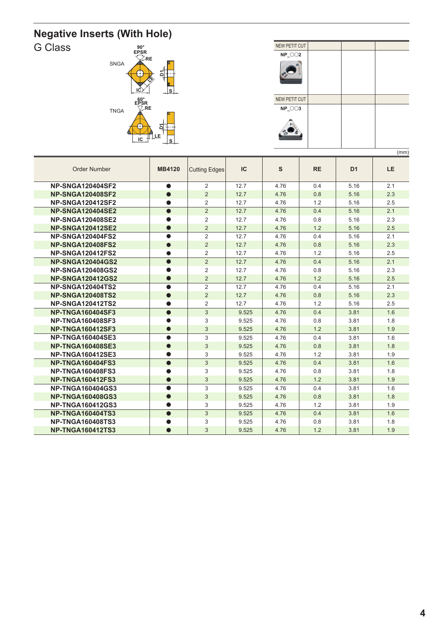## **Negative Inserts (With Hole)**





|                         |               |                      |       |      |           |                | (111111) |
|-------------------------|---------------|----------------------|-------|------|-----------|----------------|----------|
| <b>Order Number</b>     | <b>MB4120</b> | <b>Cutting Edges</b> | IC    | S    | <b>RE</b> | D <sub>1</sub> | LE.      |
| <b>NP-SNGA120404SF2</b> | $\bullet$     | 2                    | 12.7  | 4.76 | 0.4       | 5.16           | 2.1      |
| <b>NP-SNGA120408SF2</b> | $\bullet$     | 2                    | 12.7  | 4.76 | 0.8       | 5.16           | 2.3      |
| <b>NP-SNGA120412SF2</b> |               | 2                    | 12.7  | 4.76 | 1.2       | 5.16           | 2.5      |
| <b>NP-SNGA120404SE2</b> | $\bullet$     | 2                    | 12.7  | 4.76 | 0.4       | 5.16           | 2.1      |
| <b>NP-SNGA120408SE2</b> |               | 2                    | 12.7  | 4.76 | 0.8       | 5.16           | 2.3      |
| <b>NP-SNGA120412SE2</b> | $\bullet$     | $\overline{2}$       | 12.7  | 4.76 | 1.2       | 5.16           | 2.5      |
| <b>NP-SNGA120404FS2</b> | $\bullet$     | 2                    | 12.7  | 4.76 | 0.4       | 5.16           | 2.1      |
| <b>NP-SNGA120408FS2</b> | $\bullet$     | 2                    | 12.7  | 4.76 | 0.8       | 5.16           | 2.3      |
| <b>NP-SNGA120412FS2</b> | $\bullet$     | $\overline{2}$       | 12.7  | 4.76 | 1.2       | 5.16           | 2.5      |
| <b>NP-SNGA120404GS2</b> | $\bullet$     | 2                    | 12.7  | 4.76 | 0.4       | 5.16           | 2.1      |
| <b>NP-SNGA120408GS2</b> |               | 2                    | 12.7  | 4.76 | 0.8       | 5.16           | 2.3      |
| <b>NP-SNGA120412GS2</b> | $\bullet$     | $\overline{2}$       | 12.7  | 4.76 | 1.2       | 5.16           | 2.5      |
| <b>NP-SNGA120404TS2</b> | ●             | 2                    | 12.7  | 4.76 | 0.4       | 5.16           | 2.1      |
| <b>NP-SNGA120408TS2</b> | $\bullet$     | $\overline{2}$       | 12.7  | 4.76 | 0.8       | 5.16           | 2.3      |
| <b>NP-SNGA120412TS2</b> |               | $\overline{2}$       | 12.7  | 4.76 | 1.2       | 5.16           | 2.5      |
| <b>NP-TNGA160404SF3</b> | $\bullet$     | $\mathbf{3}$         | 9.525 | 4.76 | 0.4       | 3.81           | 1.6      |
| <b>NP-TNGA160408SF3</b> |               | 3                    | 9.525 | 4.76 | 0.8       | 3.81           | 1.8      |
| <b>NP-TNGA160412SF3</b> | $\bullet$     | 3                    | 9.525 | 4.76 | 1.2       | 3.81           | 1.9      |
| <b>NP-TNGA160404SE3</b> |               | 3                    | 9.525 | 4.76 | 0.4       | 3.81           | 1.6      |
| <b>NP-TNGA160408SE3</b> | $\bullet$     | 3                    | 9.525 | 4.76 | 0.8       | 3.81           | 1.8      |
| <b>NP-TNGA160412SE3</b> |               | 3                    | 9.525 | 4.76 | 1.2       | 3.81           | 1.9      |
| <b>NP-TNGA160404FS3</b> | $\bullet$     | 3                    | 9.525 | 4.76 | 0.4       | 3.81           | 1.6      |
| <b>NP-TNGA160408FS3</b> |               | 3                    | 9.525 | 4.76 | 0.8       | 3.81           | 1.8      |
| <b>NP-TNGA160412FS3</b> | $\bullet$     | 3                    | 9.525 | 4.76 | 1.2       | 3.81           | 1.9      |
| <b>NP-TNGA160404GS3</b> | $\bullet$     | 3                    | 9.525 | 4.76 | 0.4       | 3.81           | 1.6      |
| <b>NP-TNGA160408GS3</b> | $\bullet$     | 3                    | 9.525 | 4.76 | 0.8       | 3.81           | 1.8      |
| <b>NP-TNGA160412GS3</b> |               | 3                    | 9.525 | 4.76 | 1.2       | 3.81           | 1.9      |
| <b>NP-TNGA160404TS3</b> | $\bullet$     | 3                    | 9.525 | 4.76 | 0.4       | 3.81           | 1.6      |
| <b>NP-TNGA160408TS3</b> |               | 3                    | 9.525 | 4.76 | 0.8       | 3.81           | 1.8      |
| <b>NP-TNGA160412TS3</b> |               | 3                    | 9.525 | 4.76 | 1.2       | 3.81           | 1.9      |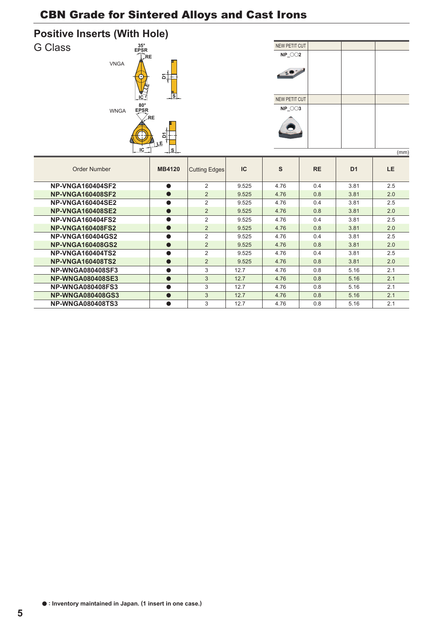

| NEW PETIT CUT     |  |  |  |  |  |  |  |
|-------------------|--|--|--|--|--|--|--|
| $NP_0$ $O$ $2$    |  |  |  |  |  |  |  |
| $30^{\circ}$      |  |  |  |  |  |  |  |
| NEW PETIT CUT     |  |  |  |  |  |  |  |
| $NP_\sim \odot 3$ |  |  |  |  |  |  |  |
|                   |  |  |  |  |  |  |  |
| (mm)              |  |  |  |  |  |  |  |

|                         |               |                      |           |      |           |                | (111111)  |
|-------------------------|---------------|----------------------|-----------|------|-----------|----------------|-----------|
| Order Number            | <b>MB4120</b> | <b>Cutting Edges</b> | <b>IC</b> | S    | <b>RE</b> | D <sub>1</sub> | <b>LE</b> |
| <b>NP-VNGA160404SF2</b> | $\bullet$     | $\overline{2}$       | 9.525     | 4.76 | 0.4       | 3.81           | 2.5       |
| <b>NP-VNGA160408SF2</b> | $\bullet$     | $\overline{2}$       | 9.525     | 4.76 | 0.8       | 3.81           | 2.0       |
| <b>NP-VNGA160404SE2</b> | $\bullet$     | $\overline{2}$       | 9.525     | 4.76 | 0.4       | 3.81           | 2.5       |
| <b>NP-VNGA160408SE2</b> | $\bullet$     | 2                    | 9.525     | 4.76 | 0.8       | 3.81           | 2.0       |
| <b>NP-VNGA160404FS2</b> | $\bullet$     | $\overline{2}$       | 9.525     | 4.76 | 0.4       | 3.81           | 2.5       |
| <b>NP-VNGA160408FS2</b> | $\bullet$     | $\overline{2}$       | 9.525     | 4.76 | 0.8       | 3.81           | 2.0       |
| <b>NP-VNGA160404GS2</b> | $\bullet$     | $\overline{2}$       | 9.525     | 4.76 | 0.4       | 3.81           | 2.5       |
| <b>NP-VNGA160408GS2</b> | $\bullet$     | $\overline{2}$       | 9.525     | 4.76 | 0.8       | 3.81           | 2.0       |
| <b>NP-VNGA160404TS2</b> | $\bullet$     | $\mathcal{P}$        | 9.525     | 4.76 | 0.4       | 3.81           | 2.5       |
| <b>NP-VNGA160408TS2</b> | $\bullet$     | $\overline{2}$       | 9.525     | 4.76 | 0.8       | 3.81           | 2.0       |
| <b>NP-WNGA080408SF3</b> | $\bullet$     | 3                    | 12.7      | 4.76 | 0.8       | 5.16           | 2.1       |
| <b>NP-WNGA080408SE3</b> | $\bullet$     | 3                    | 12.7      | 4.76 | 0.8       | 5.16           | 2.1       |
| <b>NP-WNGA080408FS3</b> | $\bullet$     | 3                    | 12.7      | 4.76 | 0.8       | 5.16           | 2.1       |
| <b>NP-WNGA080408GS3</b> | $\bullet$     | 3                    | 12.7      | 4.76 | 0.8       | 5.16           | 2.1       |
| <b>NP-WNGA080408TS3</b> | $\bullet$     | 3                    | 12.7      | 4.76 | 0.8       | 5.16           | 2.1       |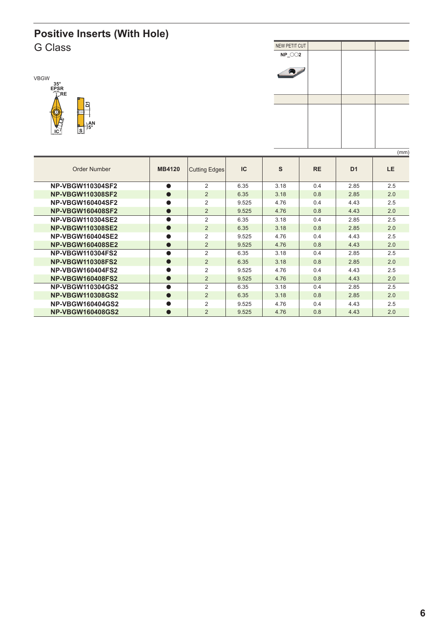#### **Positive Inserts (With Hole)** G Class NEW PETIT CUT





|                         |               |                      |           |      |           |                | (mm)      |
|-------------------------|---------------|----------------------|-----------|------|-----------|----------------|-----------|
| Order Number            | <b>MB4120</b> | <b>Cutting Edges</b> | <b>IC</b> | S    | <b>RE</b> | D <sub>1</sub> | <b>LE</b> |
| <b>NP-VBGW110304SF2</b> | $\bullet$     | 2                    | 6.35      | 3.18 | 0.4       | 2.85           | 2.5       |
| <b>NP-VBGW110308SF2</b> | $\bullet$     | $\overline{2}$       | 6.35      | 3.18 | 0.8       | 2.85           | 2.0       |
| <b>NP-VBGW160404SF2</b> | ●             | $\overline{2}$       | 9.525     | 4.76 | 0.4       | 4.43           | 2.5       |
| <b>NP-VBGW160408SF2</b> | $\bullet$     | $\overline{2}$       | 9.525     | 4.76 | 0.8       | 4.43           | 2.0       |
| <b>NP-VBGW110304SE2</b> | $\bullet$     | 2                    | 6.35      | 3.18 | 0.4       | 2.85           | 2.5       |
| <b>NP-VBGW110308SE2</b> | $\bullet$     | $\overline{2}$       | 6.35      | 3.18 | 0.8       | 2.85           | 2.0       |
| <b>NP-VBGW160404SE2</b> | $\bullet$     | 2                    | 9.525     | 4.76 | 0.4       | 4.43           | 2.5       |
| <b>NP-VBGW160408SE2</b> | $\bullet$     | 2                    | 9.525     | 4.76 | 0.8       | 4.43           | 2.0       |
| <b>NP-VBGW110304FS2</b> | $\bullet$     | 2                    | 6.35      | 3.18 | 0.4       | 2.85           | 2.5       |
| <b>NP-VBGW110308FS2</b> | $\bullet$     | $\overline{2}$       | 6.35      | 3.18 | 0.8       | 2.85           | 2.0       |
| <b>NP-VBGW160404FS2</b> | $\bullet$     | 2                    | 9.525     | 4.76 | 0.4       | 4.43           | 2.5       |
| <b>NP-VBGW160408FS2</b> | $\bullet$     | $\overline{2}$       | 9.525     | 4.76 | 0.8       | 4.43           | 2.0       |
| <b>NP-VBGW110304GS2</b> | $\bullet$     | $\overline{2}$       | 6.35      | 3.18 | 0.4       | 2.85           | 2.5       |
| <b>NP-VBGW110308GS2</b> | $\bullet$     | 2                    | 6.35      | 3.18 | 0.8       | 2.85           | 2.0       |
| <b>NP-VBGW160404GS2</b> |               | 2                    | 9.525     | 4.76 | 0.4       | 4.43           | 2.5       |
| <b>NP-VBGW160408GS2</b> | $\bullet$     | $\overline{2}$       | 9.525     | 4.76 | 0.8       | 4.43           | 2.0       |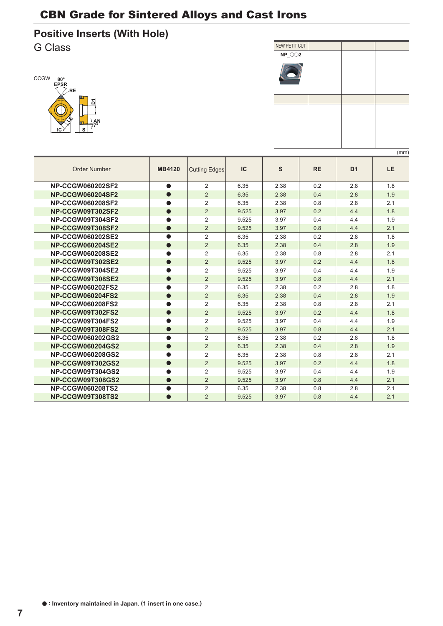



|                         |               |                      |       |      |           |                | ,,,,,,, |
|-------------------------|---------------|----------------------|-------|------|-----------|----------------|---------|
| <b>Order Number</b>     | <b>MB4120</b> | <b>Cutting Edges</b> | IC    | S    | <b>RE</b> | D <sub>1</sub> | LE.     |
| <b>NP-CCGW060202SF2</b> | $\bullet$     | 2                    | 6.35  | 2.38 | 0.2       | 2.8            | 1.8     |
| <b>NP-CCGW060204SF2</b> | $\bullet$     | $\overline{2}$       | 6.35  | 2.38 | 0.4       | 2.8            | 1.9     |
| <b>NP-CCGW060208SF2</b> |               | $\overline{2}$       | 6.35  | 2.38 | 0.8       | 2.8            | 2.1     |
| NP-CCGW09T302SF2        | $\bullet$     | $\overline{2}$       | 9.525 | 3.97 | 0.2       | 4.4            | 1.8     |
| NP-CCGW09T304SF2        |               | $\overline{2}$       | 9.525 | 3.97 | 0.4       | 4.4            | 1.9     |
| NP-CCGW09T308SF2        | $\bullet$     | $\overline{2}$       | 9.525 | 3.97 | 0.8       | 4.4            | 2.1     |
| <b>NP-CCGW060202SE2</b> |               | $\overline{2}$       | 6.35  | 2.38 | 0.2       | 2.8            | 1.8     |
| <b>NP-CCGW060204SE2</b> | $\bullet$     | 2                    | 6.35  | 2.38 | 0.4       | 2.8            | 1.9     |
| <b>NP-CCGW060208SE2</b> |               | $\overline{2}$       | 6.35  | 2.38 | 0.8       | 2.8            | 2.1     |
| NP-CCGW09T302SE2        | $\bullet$     | $\overline{2}$       | 9.525 | 3.97 | 0.2       | 4.4            | 1.8     |
| NP-CCGW09T304SE2        |               | $\overline{2}$       | 9.525 | 3.97 | 0.4       | 4.4            | 1.9     |
| NP-CCGW09T308SE2        | $\bullet$     | $\overline{2}$       | 9.525 | 3.97 | 0.8       | 4.4            | 2.1     |
| <b>NP-CCGW060202FS2</b> | $\bullet$     | $\overline{2}$       | 6.35  | 2.38 | 0.2       | 2.8            | 1.8     |
| <b>NP-CCGW060204FS2</b> |               | $\overline{2}$       | 6.35  | 2.38 | 0.4       | 2.8            | 1.9     |
| <b>NP-CCGW060208FS2</b> |               | $\overline{2}$       | 6.35  | 2.38 | 0.8       | 2.8            | 2.1     |
| NP-CCGW09T302FS2        | $\bullet$     | $\overline{2}$       | 9.525 | 3.97 | 0.2       | 4.4            | 1.8     |
| NP-CCGW09T304FS2        |               | $\overline{2}$       | 9.525 | 3.97 | 0.4       | 4.4            | 1.9     |
| NP-CCGW09T308FS2        | $\bullet$     | $\overline{2}$       | 9.525 | 3.97 | 0.8       | 4.4            | 2.1     |
| <b>NP-CCGW060202GS2</b> | $\bullet$     | $\overline{2}$       | 6.35  | 2.38 | 0.2       | 2.8            | 1.8     |
| <b>NP-CCGW060204GS2</b> | $\bullet$     | $\overline{2}$       | 6.35  | 2.38 | 0.4       | 2.8            | 1.9     |
| <b>NP-CCGW060208GS2</b> |               | $\overline{2}$       | 6.35  | 2.38 | 0.8       | 2.8            | 2.1     |
| NP-CCGW09T302GS2        | $\bullet$     | $\overline{2}$       | 9.525 | 3.97 | 0.2       | 4.4            | 1.8     |
| NP-CCGW09T304GS2        |               | $\overline{2}$       | 9.525 | 3.97 | 0.4       | 4.4            | 1.9     |
| NP-CCGW09T308GS2        | $\bullet$     | 2                    | 9.525 | 3.97 | 0.8       | 4.4            | 2.1     |
| <b>NP-CCGW060208TS2</b> |               | $\overline{2}$       | 6.35  | 2.38 | 0.8       | 2.8            | 2.1     |
| NP-CCGW09T308TS2        |               | $\overline{2}$       | 9.525 | 3.97 | 0.8       | 4.4            | 2.1     |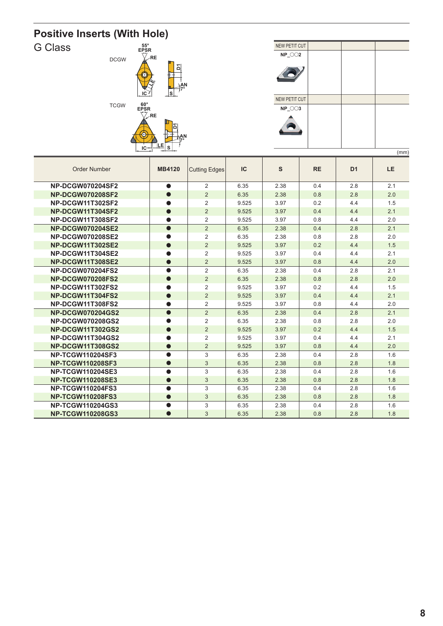



|                         |               |                      |       |      |           |                | (mm)      |
|-------------------------|---------------|----------------------|-------|------|-----------|----------------|-----------|
| <b>Order Number</b>     | <b>MB4120</b> | <b>Cutting Edges</b> | IC    | S    | <b>RE</b> | D <sub>1</sub> | <b>LE</b> |
| <b>NP-DCGW070204SF2</b> | $\bullet$     | 2                    | 6.35  | 2.38 | 0.4       | 2.8            | 2.1       |
| <b>NP-DCGW070208SF2</b> | $\bullet$     | $\overline{2}$       | 6.35  | 2.38 | 0.8       | 2.8            | 2.0       |
| NP-DCGW11T302SF2        |               | $\overline{2}$       | 9.525 | 3.97 | 0.2       | 4.4            | 1.5       |
| NP-DCGW11T304SF2        | $\bullet$     | $\overline{2}$       | 9.525 | 3.97 | 0.4       | 4.4            | 2.1       |
| NP-DCGW11T308SF2        |               | $\overline{2}$       | 9.525 | 3.97 | 0.8       | 4.4            | 2.0       |
| <b>NP-DCGW070204SE2</b> | $\bullet$     | 2                    | 6.35  | 2.38 | 0.4       | 2.8            | 2.1       |
| <b>NP-DCGW070208SE2</b> |               | $\overline{2}$       | 6.35  | 2.38 | 0.8       | 2.8            | 2.0       |
| NP-DCGW11T302SE2        | $\bullet$     | 2                    | 9.525 | 3.97 | 0.2       | 4.4            | 1.5       |
| NP-DCGW11T304SE2        |               | $\overline{2}$       | 9.525 | 3.97 | 0.4       | 4.4            | 2.1       |
| NP-DCGW11T308SE2        |               | $\overline{2}$       | 9.525 | 3.97 | 0.8       | 4.4            | 2.0       |
| <b>NP-DCGW070204FS2</b> |               | $\overline{2}$       | 6.35  | 2.38 | 0.4       | 2.8            | 2.1       |
| <b>NP-DCGW070208FS2</b> | $\bullet$     | $\overline{2}$       | 6.35  | 2.38 | 0.8       | 2.8            | 2.0       |
| NP-DCGW11T302FS2        |               | $\overline{2}$       | 9.525 | 3.97 | 0.2       | 4.4            | 1.5       |
| NP-DCGW11T304FS2        | $\bullet$     | 2                    | 9.525 | 3.97 | 0.4       | 4.4            | 2.1       |
| NP-DCGW11T308FS2        |               | $\overline{2}$       | 9.525 | 3.97 | 0.8       | 4.4            | 2.0       |
| <b>NP-DCGW070204GS2</b> | $\bullet$     | 2                    | 6.35  | 2.38 | 0.4       | 2.8            | 2.1       |
| <b>NP-DCGW070208GS2</b> |               | 2                    | 6.35  | 2.38 | 0.8       | 2.8            | 2.0       |
| <b>NP-DCGW11T302GS2</b> | $\bullet$     | $\overline{2}$       | 9.525 | 3.97 | 0.2       | 4.4            | 1.5       |
| NP-DCGW11T304GS2        |               | $\overline{2}$       | 9.525 | 3.97 | 0.4       | 4.4            | 2.1       |
| <b>NP-DCGW11T308GS2</b> | $\bullet$     | $\overline{2}$       | 9.525 | 3.97 | 0.8       | 4.4            | 2.0       |
| <b>NP-TCGW110204SF3</b> |               | 3                    | 6.35  | 2.38 | 0.4       | 2.8            | 1.6       |
| <b>NP-TCGW110208SF3</b> | $\bullet$     | 3                    | 6.35  | 2.38 | 0.8       | 2.8            | 1.8       |
| <b>NP-TCGW110204SE3</b> |               | 3                    | 6.35  | 2.38 | 0.4       | 2.8            | 1.6       |
| <b>NP-TCGW110208SE3</b> | $\bullet$     | 3                    | 6.35  | 2.38 | 0.8       | 2.8            | 1.8       |
| <b>NP-TCGW110204FS3</b> | $\bullet$     | 3                    | 6.35  | 2.38 | 0.4       | 2.8            | 1.6       |
| <b>NP-TCGW110208FS3</b> |               | 3                    | 6.35  | 2.38 | 0.8       | 2.8            | 1.8       |
| <b>NP-TCGW110204GS3</b> |               | 3                    | 6.35  | 2.38 | 0.4       | 2.8            | 1.6       |
| <b>NP-TCGW110208GS3</b> |               | 3                    | 6.35  | 2.38 | 0.8       | 2.8            | 1.8       |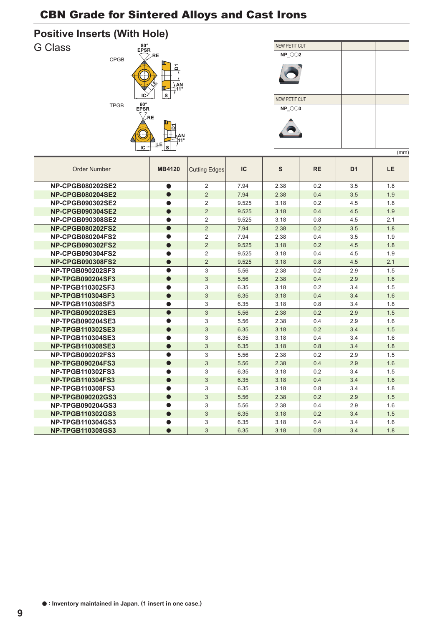



|                         |               |                      |       |      |           |                | (11111) |
|-------------------------|---------------|----------------------|-------|------|-----------|----------------|---------|
| <b>Order Number</b>     | <b>MB4120</b> | <b>Cutting Edges</b> | IC    | S    | <b>RE</b> | D <sub>1</sub> | LE.     |
| <b>NP-CPGB080202SE2</b> | $\bullet$     | 2                    | 7.94  | 2.38 | 0.2       | 3.5            | 1.8     |
| <b>NP-CPGB080204SE2</b> | $\bullet$     | $\overline{2}$       | 7.94  | 2.38 | 0.4       | 3.5            | 1.9     |
| <b>NP-CPGB090302SE2</b> |               | 2                    | 9.525 | 3.18 | 0.2       | 4.5            | 1.8     |
| <b>NP-CPGB090304SE2</b> | $\bullet$     | 2                    | 9.525 | 3.18 | 0.4       | 4.5            | 1.9     |
| <b>NP-CPGB090308SE2</b> | $\bullet$     | 2                    | 9.525 | 3.18 | 0.8       | 4.5            | 2.1     |
| <b>NP-CPGB080202FS2</b> | $\bullet$     | $\overline{2}$       | 7.94  | 2.38 | 0.2       | 3.5            | 1.8     |
| <b>NP-CPGB080204FS2</b> |               | 2                    | 7.94  | 2.38 | 0.4       | 3.5            | 1.9     |
| <b>NP-CPGB090302FS2</b> | $\bullet$     | $\overline{2}$       | 9.525 | 3.18 | 0.2       | 4.5            | 1.8     |
| <b>NP-CPGB090304FS2</b> |               | $\overline{2}$       | 9.525 | 3.18 | 0.4       | 4.5            | 1.9     |
| <b>NP-CPGB090308FS2</b> | $\bullet$     | $\overline{2}$       | 9.525 | 3.18 | 0.8       | 4.5            | 2.1     |
| <b>NP-TPGB090202SF3</b> | $\bullet$     | 3                    | 5.56  | 2.38 | 0.2       | 2.9            | 1.5     |
| <b>NP-TPGB090204SF3</b> | $\bullet$     | 3                    | 5.56  | 2.38 | 0.4       | 2.9            | 1.6     |
| NP-TPGB110302SF3        |               | 3                    | 6.35  | 3.18 | 0.2       | 3.4            | 1.5     |
| <b>NP-TPGB110304SF3</b> | $\bullet$     | $\mathfrak{S}$       | 6.35  | 3.18 | 0.4       | 3.4            | 1.6     |
| <b>NP-TPGB110308SF3</b> |               | 3                    | 6.35  | 3.18 | 0.8       | 3.4            | 1.8     |
| <b>NP-TPGB090202SE3</b> | $\bullet$     | 3                    | 5.56  | 2.38 | 0.2       | 2.9            | 1.5     |
| <b>NP-TPGB090204SE3</b> |               | 3                    | 5.56  | 2.38 | 0.4       | 2.9            | 1.6     |
| <b>NP-TPGB110302SE3</b> | $\bullet$     | 3                    | 6.35  | 3.18 | 0.2       | 3.4            | 1.5     |
| <b>NP-TPGB110304SE3</b> |               | 3                    | 6.35  | 3.18 | 0.4       | 3.4            | 1.6     |
| <b>NP-TPGB110308SE3</b> | $\bullet$     | 3                    | 6.35  | 3.18 | 0.8       | 3.4            | 1.8     |
| <b>NP-TPGB090202FS3</b> | $\bullet$     | 3                    | 5.56  | 2.38 | 0.2       | 2.9            | 1.5     |
| <b>NP-TPGB090204FS3</b> | $\bullet$     | 3                    | 5.56  | 2.38 | 0.4       | 2.9            | 1.6     |
| <b>NP-TPGB110302FS3</b> |               | 3                    | 6.35  | 3.18 | 0.2       | 3.4            | 1.5     |
| <b>NP-TPGB110304FS3</b> | $\bullet$     | $\mathfrak{S}$       | 6.35  | 3.18 | 0.4       | 3.4            | 1.6     |
| <b>NP-TPGB110308FS3</b> | $\bullet$     | 3                    | 6.35  | 3.18 | 0.8       | 3.4            | 1.8     |
| <b>NP-TPGB090202GS3</b> | $\bullet$     | 3                    | 5.56  | 2.38 | 0.2       | 2.9            | 1.5     |
| <b>NP-TPGB090204GS3</b> |               | 3                    | 5.56  | 2.38 | 0.4       | 2.9            | 1.6     |
| <b>NP-TPGB110302GS3</b> | $\bullet$     | $\mathfrak{S}$       | 6.35  | 3.18 | 0.2       | 3.4            | 1.5     |
| <b>NP-TPGB110304GS3</b> |               | 3                    | 6.35  | 3.18 | 0.4       | 3.4            | 1.6     |
| <b>NP-TPGB110308GS3</b> | $\bullet$     | 3                    | 6.35  | 3.18 | 0.8       | 3.4            | 1.8     |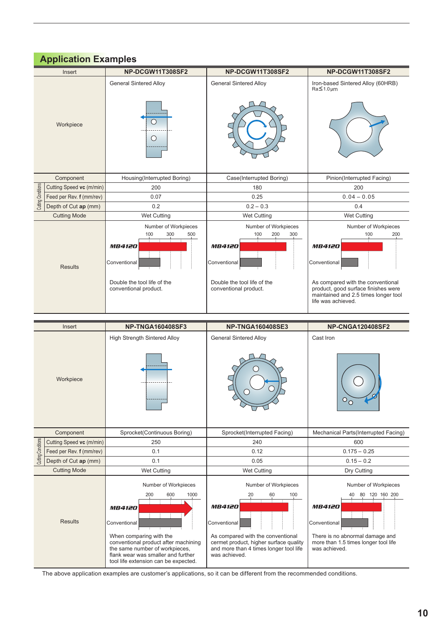|  |  | <b>Application Examples</b> |  |
|--|--|-----------------------------|--|
|--|--|-----------------------------|--|

| Insert             |                                    | NP-DCGW11T308SF2                                                                                                                   | NP-DCGW11T308SF2                                                                                                                   | NP-DCGW11T308SF2                                                                                                                                                                                              |  |  |
|--------------------|------------------------------------|------------------------------------------------------------------------------------------------------------------------------------|------------------------------------------------------------------------------------------------------------------------------------|---------------------------------------------------------------------------------------------------------------------------------------------------------------------------------------------------------------|--|--|
|                    |                                    | <b>General Sintered Alloy</b>                                                                                                      | <b>General Sintered Alloy</b>                                                                                                      | Iron-based Sintered Alloy (60HRB)<br>Ra≤1.0µm                                                                                                                                                                 |  |  |
| Workpiece          |                                    | ○<br>$\circ$                                                                                                                       |                                                                                                                                    |                                                                                                                                                                                                               |  |  |
|                    | Component                          | Housing(Interrupted Boring)                                                                                                        | Case(Interrupted Boring)                                                                                                           | Pinion(Interrupted Facing)                                                                                                                                                                                    |  |  |
|                    | Cutting Speed vc (m/min)           | 200                                                                                                                                | 180                                                                                                                                | 200                                                                                                                                                                                                           |  |  |
| Cutting Conditions | Feed per Rev. f (mm/rev)           | 0.07                                                                                                                               | 0.25                                                                                                                               | $0.04 - 0.05$                                                                                                                                                                                                 |  |  |
|                    | Depth of Cut ap (mm)               | 0.2                                                                                                                                | $0.2 - 0.3$                                                                                                                        | 0.4                                                                                                                                                                                                           |  |  |
|                    | <b>Cutting Mode</b><br>Wet Cutting |                                                                                                                                    | <b>Wet Cutting</b>                                                                                                                 | <b>Wet Cutting</b>                                                                                                                                                                                            |  |  |
| <b>Results</b>     |                                    | Number of Workpieces<br>100<br>300<br>500<br><b>MB4120</b><br>Conventional<br>Double the tool life of the<br>conventional product. | Number of Workpieces<br>100<br>200<br>300<br><b>MB4120</b><br>Conventional<br>Double the tool life of the<br>conventional product. | Number of Workpieces<br>100<br>200<br><b>MB4120</b><br>Conventional<br>As compared with the conventional<br>product, good surface finishes were<br>maintained and 2.5 times longer tool<br>life was achieved. |  |  |
|                    |                                    |                                                                                                                                    |                                                                                                                                    |                                                                                                                                                                                                               |  |  |
|                    | Insert                             | <b>NP-TNGA160408SF3</b><br>Tittele Office with Obstract J. Allie                                                                   | <b>NP-TNGA160408SE3</b><br>$-1$ Obstracted Aller                                                                                   | <b>NP-CNGA120408SF2</b><br>$0 - 11 - 1$                                                                                                                                                                       |  |  |

|                                    | 11301                    | ט וטטש <del>וי</del> טטו אשווי                                                                                                                                                                                         | 19F " I INGA 1004000 LJ                                                                                                                                                                                            | <u>ג וטפטארו אטאי ז</u> או                                                                                                                                             |  |  |
|------------------------------------|--------------------------|------------------------------------------------------------------------------------------------------------------------------------------------------------------------------------------------------------------------|--------------------------------------------------------------------------------------------------------------------------------------------------------------------------------------------------------------------|------------------------------------------------------------------------------------------------------------------------------------------------------------------------|--|--|
|                                    |                          | <b>High Strength Sintered Alloy</b>                                                                                                                                                                                    | <b>General Sintered Alloy</b>                                                                                                                                                                                      | Cast Iron                                                                                                                                                              |  |  |
|                                    | Workpiece                |                                                                                                                                                                                                                        |                                                                                                                                                                                                                    | O                                                                                                                                                                      |  |  |
|                                    | Component                | Sprocket(Continuous Boring)                                                                                                                                                                                            | Sprocket(Interrupted Facing)                                                                                                                                                                                       | Mechanical Parts (Interrupted Facing)                                                                                                                                  |  |  |
|                                    | Cutting Speed vc (m/min) | 250                                                                                                                                                                                                                    | 240                                                                                                                                                                                                                | 600                                                                                                                                                                    |  |  |
| Cutting Conditions                 | Feed per Rev. f (mm/rev) | 0.1                                                                                                                                                                                                                    | 0.12                                                                                                                                                                                                               | $0.175 - 0.25$                                                                                                                                                         |  |  |
|                                    | Depth of Cut ap (mm)     | 0.1                                                                                                                                                                                                                    | 0.05                                                                                                                                                                                                               | $0.15 - 0.2$                                                                                                                                                           |  |  |
| <b>Cutting Mode</b><br>Wet Cutting |                          |                                                                                                                                                                                                                        | Wet Cutting                                                                                                                                                                                                        | Dry Cutting                                                                                                                                                            |  |  |
|                                    | <b>Results</b>           | Number of Workpieces<br>200<br>600<br>1000<br><b>MB4120</b><br>Conventional<br>When comparing with the<br>conventional product after machining<br>the same number of workpieces,<br>flank wear was smaller and further | Number of Workpieces<br>60<br>100<br>20<br><b>MB4120</b><br>Conventional<br>As compared with the conventional<br>cermet product, higher surface quality<br>and more than 4 times longer tool life<br>was achieved. | Number of Workpieces<br>120 160 200<br>80<br><b>MB4120</b><br>Conventional<br>There is no abnormal damage and<br>more than 1.5 times longer tool life<br>was achieved. |  |  |
|                                    |                          | tool life extension can be expected.                                                                                                                                                                                   |                                                                                                                                                                                                                    |                                                                                                                                                                        |  |  |

The above application examples are customer's applications, so it can be different from the recommended conditions.